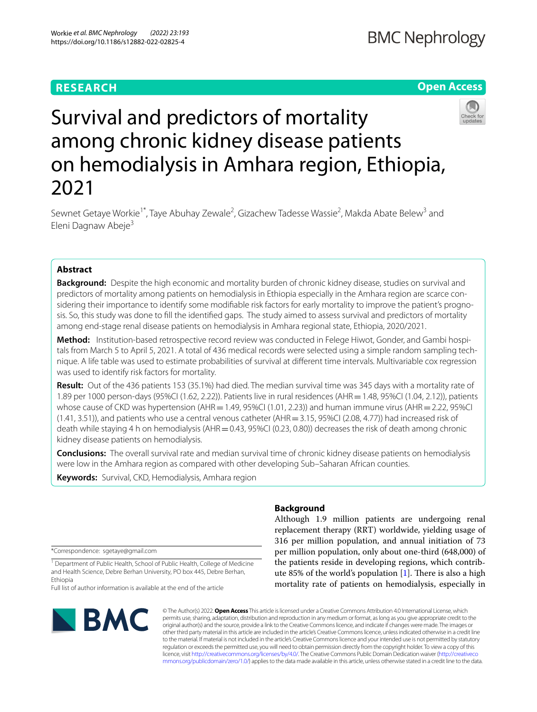## **RESEARCH**

## **Open Access**



# Survival and predictors of mortality among chronic kidney disease patients on hemodialysis in Amhara region, Ethiopia, 2021

Sewnet Getaye Workie<sup>1\*</sup>, Taye Abuhay Zewale<sup>2</sup>, Gizachew Tadesse Wassie<sup>2</sup>, Makda Abate Belew<sup>3</sup> and Eleni Dagnaw Abeje<sup>3</sup>

## **Abstract**

**Background:** Despite the high economic and mortality burden of chronic kidney disease, studies on survival and predictors of mortality among patients on hemodialysis in Ethiopia especially in the Amhara region are scarce considering their importance to identify some modifable risk factors for early mortality to improve the patient's prognosis. So, this study was done to fll the identifed gaps. The study aimed to assess survival and predictors of mortality among end-stage renal disease patients on hemodialysis in Amhara regional state, Ethiopia, 2020/2021.

**Method:** Institution-based retrospective record review was conducted in Felege Hiwot, Gonder, and Gambi hospitals from March 5 to April 5, 2021. A total of 436 medical records were selected using a simple random sampling technique. A life table was used to estimate probabilities of survival at diferent time intervals. Multivariable cox regression was used to identify risk factors for mortality.

**Result:** Out of the 436 patients 153 (35.1%) had died. The median survival time was 345 days with a mortality rate of 1.89 per 1000 person-days (95%CI (1.62, 2.22)). Patients live in rural residences (AHR=1.48, 95%CI (1.04, 2.12)), patients whose cause of CKD was hypertension (AHR = 1.49, 95%CI (1.01, 2.23)) and human immune virus (AHR = 2.22, 95%CI (1.41, 3.51)), and patients who use a central venous catheter (AHR = 3.15, 95%CI (2.08, 4.77)) had increased risk of death while staying 4 h on hemodialysis (AHR  $=$  0.43, 95%CI (0.23, 0.80)) decreases the risk of death among chronic kidney disease patients on hemodialysis.

**Conclusions:** The overall survival rate and median survival time of chronic kidney disease patients on hemodialysis were low in the Amhara region as compared with other developing Sub–Saharan African counties.

**Keywords:** Survival, CKD, Hemodialysis, Amhara region

\*Correspondence: sgetaye@gmail.com

<sup>1</sup> Department of Public Health, School of Public Health, College of Medicine and Health Science, Debre Berhan University, PO box 445, Debre Berhan, Ethiopia

Full list of author information is available at the end of the article



## **Background**

Although 1.9 million patients are undergoing renal replacement therapy (RRT) worldwide, yielding usage of 316 per million population, and annual initiation of 73 per million population, only about one-third (648,000) of the patients reside in developing regions, which contribute 85% of the world's population  $[1]$ . There is also a high mortality rate of patients on hemodialysis, especially in

© The Author(s) 2022. **Open Access** This article is licensed under a Creative Commons Attribution 4.0 International License, which permits use, sharing, adaptation, distribution and reproduction in any medium or format, as long as you give appropriate credit to the original author(s) and the source, provide a link to the Creative Commons licence, and indicate if changes were made. The images or other third party material in this article are included in the article's Creative Commons licence, unless indicated otherwise in a credit line to the material. If material is not included in the article's Creative Commons licence and your intended use is not permitted by statutory regulation or exceeds the permitted use, you will need to obtain permission directly from the copyright holder. To view a copy of this licence, visit [http://creativecommons.org/licenses/by/4.0/.](http://creativecommons.org/licenses/by/4.0/) The Creative Commons Public Domain Dedication waiver ([http://creativeco](http://creativecommons.org/publicdomain/zero/1.0/) [mmons.org/publicdomain/zero/1.0/](http://creativecommons.org/publicdomain/zero/1.0/)) applies to the data made available in this article, unless otherwise stated in a credit line to the data.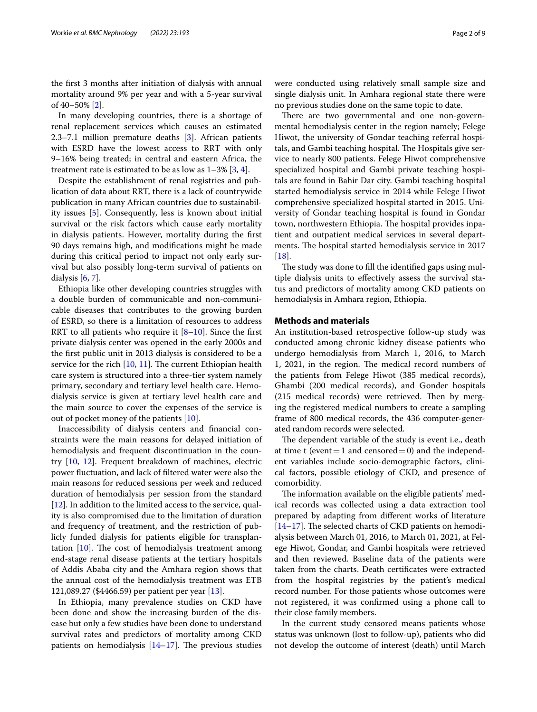the frst 3 months after initiation of dialysis with annual mortality around 9% per year and with a 5-year survival of 40–50% [\[2\]](#page-7-1).

In many developing countries, there is a shortage of renal replacement services which causes an estimated 2.3–7.1 million premature deaths [\[3](#page-7-2)]. African patients with ESRD have the lowest access to RRT with only 9–16% being treated; in central and eastern Africa, the treatment rate is estimated to be as low as  $1-3\%$  $1-3\%$  $1-3\%$  [3, [4\]](#page-7-3).

Despite the establishment of renal registries and publication of data about RRT, there is a lack of countrywide publication in many African countries due to sustainability issues [\[5](#page-7-4)]. Consequently, less is known about initial survival or the risk factors which cause early mortality in dialysis patients. However, mortality during the frst 90 days remains high, and modifcations might be made during this critical period to impact not only early survival but also possibly long-term survival of patients on dialysis  $[6, 7]$  $[6, 7]$  $[6, 7]$  $[6, 7]$ .

Ethiopia like other developing countries struggles with a double burden of communicable and non-communicable diseases that contributes to the growing burden of ESRD, so there is a limitation of resources to address RRT to all patients who require it  $[8-10]$  $[8-10]$ . Since the first private dialysis center was opened in the early 2000s and the frst public unit in 2013 dialysis is considered to be a service for the rich  $[10, 11]$  $[10, 11]$  $[10, 11]$  $[10, 11]$  $[10, 11]$ . The current Ethiopian health care system is structured into a three-tier system namely primary, secondary and tertiary level health care. Hemodialysis service is given at tertiary level health care and the main source to cover the expenses of the service is out of pocket money of the patients [\[10\]](#page-7-8).

Inaccessibility of dialysis centers and fnancial constraints were the main reasons for delayed initiation of hemodialysis and frequent discontinuation in the country [[10,](#page-7-8) [12](#page-7-10)]. Frequent breakdown of machines, electric power fuctuation, and lack of fltered water were also the main reasons for reduced sessions per week and reduced duration of hemodialysis per session from the standard [[12\]](#page-7-10). In addition to the limited access to the service, quality is also compromised due to the limitation of duration and frequency of treatment, and the restriction of publicly funded dialysis for patients eligible for transplantation  $[10]$  $[10]$ . The cost of hemodialysis treatment among end-stage renal disease patients at the tertiary hospitals of Addis Ababa city and the Amhara region shows that the annual cost of the hemodialysis treatment was ETB 121,089.27 (\$4466.59) per patient per year [[13\]](#page-7-11).

In Ethiopia, many prevalence studies on CKD have been done and show the increasing burden of the disease but only a few studies have been done to understand survival rates and predictors of mortality among CKD patients on hemodialysis  $[14–17]$  $[14–17]$ . The previous studies were conducted using relatively small sample size and single dialysis unit. In Amhara regional state there were no previous studies done on the same topic to date.

There are two governmental and one non-governmental hemodialysis center in the region namely; Felege Hiwot, the university of Gondar teaching referral hospitals, and Gambi teaching hospital. The Hospitals give service to nearly 800 patients. Felege Hiwot comprehensive specialized hospital and Gambi private teaching hospitals are found in Bahir Dar city. Gambi teaching hospital started hemodialysis service in 2014 while Felege Hiwot comprehensive specialized hospital started in 2015. University of Gondar teaching hospital is found in Gondar town, northwestern Ethiopia. The hospital provides inpatient and outpatient medical services in several departments. The hospital started hemodialysis service in 2017 [[18\]](#page-7-14).

The study was done to fill the identified gaps using multiple dialysis units to efectively assess the survival status and predictors of mortality among CKD patients on hemodialysis in Amhara region, Ethiopia.

#### **Methods and materials**

An institution-based retrospective follow-up study was conducted among chronic kidney disease patients who undergo hemodialysis from March 1, 2016, to March 1, 2021, in the region. The medical record numbers of the patients from Felege Hiwot (385 medical records), Ghambi (200 medical records), and Gonder hospitals  $(215 \text{ medical records})$  were retrieved. Then by merging the registered medical numbers to create a sampling frame of 800 medical records, the 436 computer-generated random records were selected.

The dependent variable of the study is event i.e., death at time t (event = 1 and censored = 0) and the independent variables include socio-demographic factors, clinical factors, possible etiology of CKD, and presence of comorbidity.

The information available on the eligible patients' medical records was collected using a data extraction tool prepared by adapting from diferent works of literature  $[14–17]$  $[14–17]$  $[14–17]$ . The selected charts of CKD patients on hemodialysis between March 01, 2016, to March 01, 2021, at Felege Hiwot, Gondar, and Gambi hospitals were retrieved and then reviewed. Baseline data of the patients were taken from the charts. Death certifcates were extracted from the hospital registries by the patient's medical record number. For those patients whose outcomes were not registered, it was confrmed using a phone call to their close family members.

In the current study censored means patients whose status was unknown (lost to follow-up), patients who did not develop the outcome of interest (death) until March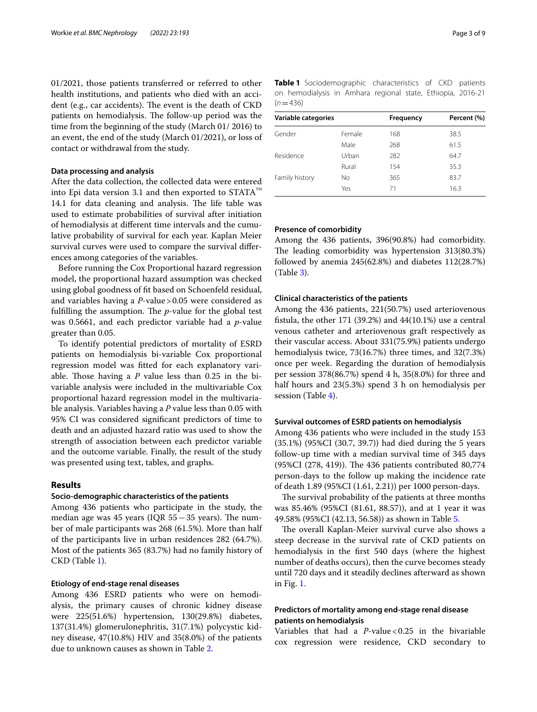01/2021, those patients transferred or referred to other health institutions, and patients who died with an accident (e.g., car accidents). The event is the death of CKD patients on hemodialysis. The follow-up period was the time from the beginning of the study (March 01/ 2016) to an event, the end of the study (March 01/2021), or loss of contact or withdrawal from the study.

## **Data processing and analysis**

After the data collection, the collected data were entered into Epi data version 3.1 and then exported to STATA<sup>™</sup> 14.1 for data cleaning and analysis. The life table was used to estimate probabilities of survival after initiation of hemodialysis at diferent time intervals and the cumulative probability of survival for each year. Kaplan Meier survival curves were used to compare the survival diferences among categories of the variables.

Before running the Cox Proportional hazard regression model, the proportional hazard assumption was checked using global goodness of ft based on Schoenfeld residual, and variables having a *P*-value > 0.05 were considered as fulfilling the assumption. The *p*-value for the global test was 0.5661, and each predictor variable had a *p*-value greater than 0.05.

To identify potential predictors of mortality of ESRD patients on hemodialysis bi-variable Cox proportional regression model was ftted for each explanatory variable. Those having a  $P$  value less than 0.25 in the bivariable analysis were included in the multivariable Cox proportional hazard regression model in the multivariable analysis. Variables having a *P* value less than 0.05 with 95% CI was considered signifcant predictors of time to death and an adjusted hazard ratio was used to show the strength of association between each predictor variable and the outcome variable. Finally, the result of the study was presented using text, tables, and graphs.

#### **Results**

#### **Socio‑demographic characteristics of the patients**

Among 436 patients who participate in the study, the median age was 45 years (IQR 55 – 35 years). The number of male participants was 268 (61.5%). More than half of the participants live in urban residences 282 (64.7%). Most of the patients 365 (83.7%) had no family history of CKD (Table [1\)](#page-2-0).

## **Etiology of end‑stage renal diseases**

Among 436 ESRD patients who were on hemodialysis, the primary causes of chronic kidney disease were 225(51.6%) hypertension, 130(29.8%) diabetes, 137(31.4%) glomerulonephritis, 31(7.1%) polycystic kidney disease, 47(10.8%) HIV and 35(8.0%) of the patients due to unknown causes as shown in Table [2](#page-3-0).

<span id="page-2-0"></span>

| on hemodialysis in Amhara regional state, Ethiopia, 2016-21<br>$(n=436)$ |  |  | Table 1 Sociodemographic characteristics of CKD patients |  |  |
|--------------------------------------------------------------------------|--|--|----------------------------------------------------------|--|--|
|                                                                          |  |  |                                                          |  |  |

| Variable categories |        | Frequency | Percent (%) |
|---------------------|--------|-----------|-------------|
| Gender              | Female | 168       | 38.5        |
|                     | Male   | 268       | 61.5        |
| Residence           | Urban  | 282       | 64.7        |
|                     | Rural  | 154       | 35.3        |
| Family history      | No.    | 365       | 83.7        |
|                     | Yes    | 71        | 16.3        |

#### **Presence of comorbidity**

Among the 436 patients, 396(90.8%) had comorbidity. The leading comorbidity was hypertension 313(80.3%) followed by anemia 245(62.8%) and diabetes 112(28.7%) (Table [3\)](#page-3-1).

#### **Clinical characteristics of the patients**

Among the 436 patients, 221(50.7%) used arteriovenous fistula, the other  $171$  (39.2%) and  $44(10.1%)$  use a central venous catheter and arteriovenous graft respectively as their vascular access. About 331(75.9%) patients undergo hemodialysis twice, 73(16.7%) three times, and 32(7.3%) once per week. Regarding the duration of hemodialysis per session 378(86.7%) spend 4 h, 35(8.0%) for three and half hours and 23(5.3%) spend 3 h on hemodialysis per session (Table [4](#page-3-2)).

#### **Survival outcomes of ESRD patients on hemodialysis**

Among 436 patients who were included in the study 153 (35.1%) (95%CI (30.7, 39.7)) had died during the 5 years follow-up time with a median survival time of 345 days (95%CI (278, 419)). The 436 patients contributed 80,774 person-days to the follow up making the incidence rate of death 1.89 (95%CI (1.61, 2.21)) per 1000 person-days.

The survival probability of the patients at three months was 85.46% (95%CI (81.61, 88.57)), and at 1 year it was 49.58% (95%CI (42.13, 56.58)) as shown in Table [5.](#page-4-0)

The overall Kaplan-Meier survival curve also shows a steep decrease in the survival rate of CKD patients on hemodialysis in the frst 540 days (where the highest number of deaths occurs), then the curve becomes steady until 720 days and it steadily declines afterward as shown in Fig. [1](#page-4-1).

## **Predictors of mortality among end‑stage renal disease patients on hemodialysis**

Variables that had a *P*-value<0.25 in the bivariable cox regression were residence, CKD secondary to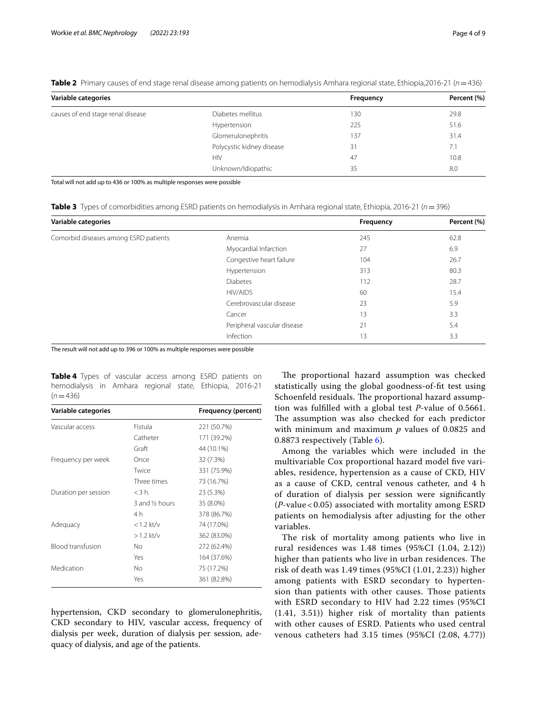**Variable categories Frequency Percent (%)** causes of end stage renal disease **Diabetes mellitus** 130 **130** 29.8 Hypertension 51.6 Glomerulonephritis 31.4 Polycystic kidney disease 31 31 7.1 HIV 10.8 Unknown/Idiopathic 35 8.0

<span id="page-3-0"></span>**Table 2** Primary causes of end stage renal disease among patients on hemodialysis Amhara regional state, Ethiopia,2016-21 (*n*=436)

Total will not add up to 436 or 100% as multiple responses were possible

<span id="page-3-1"></span>**Table 3** Types of comorbidities among ESRD patients on hemodialysis in Amhara regional state, Ethiopia, 2016-21 (*n*=396)

| Variable categories                   |                             | Frequency | Percent (%) |
|---------------------------------------|-----------------------------|-----------|-------------|
| Comorbid diseases among ESRD patients | Anemia                      | 245       | 62.8        |
|                                       | Myocardial Infarction       | 27        | 6.9         |
|                                       | Congestive heart failure    | 104       | 26.7        |
|                                       | Hypertension                | 313       | 80.3        |
|                                       | <b>Diabetes</b>             | 112       | 28.7        |
|                                       | <b>HIV/AIDS</b>             | 60        | 15.4        |
|                                       | Cerebrovascular disease     | 23        | 5.9         |
|                                       | Cancer                      | 13        | 3.3         |
|                                       | Peripheral vascular disease | 21        | 5.4         |
|                                       | Infection                   | 13        | 3.3         |

The result will not add up to 396 or 100% as multiple responses were possible

<span id="page-3-2"></span>**Table 4** Types of vascular access among ESRD patients on hemodialysis in Amhara regional state, Ethiopia, 2016-21  $(n=436)$ 

| Variable categories      |                 | Frequency (percent) |
|--------------------------|-----------------|---------------------|
| Vascular access          | Fistula         | 221 (50.7%)         |
|                          | Catheter        | 171 (39.2%)         |
|                          | Graft           | 44 (10.1%)          |
| Frequency per week       | Once            | 32 (7.3%)           |
|                          | Twice           | 331 (75.9%)         |
|                          | Three times     | 73 (16.7%)          |
| Duration per session     | $<$ 3 h.        | 23 (5.3%)           |
|                          | 3 and 1/2 hours | 35 (8.0%)           |
|                          | 4 h             | 378 (86.7%)         |
| Adequacy                 | $<$ 1.2 kt/v    | 74 (17.0%)          |
|                          | $>1.2$ kt/v     | 362 (83.0%)         |
| <b>Blood transfusion</b> | No              | 272 (62.4%)         |
|                          | Yes             | 164 (37.6%)         |
| Medication               | No.             | 75 (17.2%)          |
|                          | Yes             | 361 (82.8%)         |

hypertension, CKD secondary to glomerulonephritis, CKD secondary to HIV, vascular access, frequency of dialysis per week, duration of dialysis per session, adequacy of dialysis, and age of the patients.

The proportional hazard assumption was checked statistically using the global goodness-of-ft test using Schoenfeld residuals. The proportional hazard assumption was fulflled with a global test *P*-value of 0.5661. The assumption was also checked for each predictor with minimum and maximum *p* values of 0.0825 and 0.8873 respectively (Table [6](#page-5-0)).

Among the variables which were included in the multivariable Cox proportional hazard model fve variables, residence, hypertension as a cause of CKD, HIV as a cause of CKD, central venous catheter, and 4 h of duration of dialysis per session were signifcantly (*P*-value < 0.05) associated with mortality among ESRD patients on hemodialysis after adjusting for the other variables.

The risk of mortality among patients who live in rural residences was 1.48 times (95%CI (1.04, 2.12)) higher than patients who live in urban residences. The risk of death was 1.49 times (95%CI (1.01, 2.23)) higher among patients with ESRD secondary to hypertension than patients with other causes. Those patients with ESRD secondary to HIV had 2.22 times (95%CI (1.41, 3.51)) higher risk of mortality than patients with other causes of ESRD. Patients who used central venous catheters had 3.15 times (95%CI (2.08, 4.77))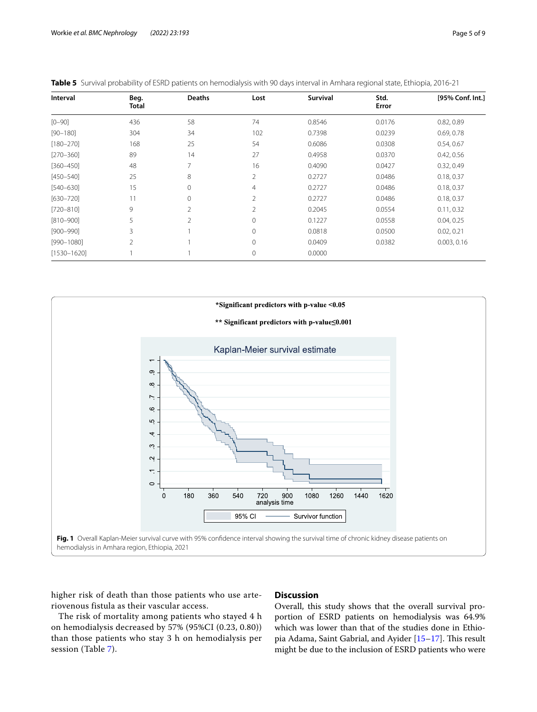| Interval        | Beg.<br>Total  | <b>Deaths</b>  | Lost           | Survival | Std.<br>Error | [95% Conf. Int.] |
|-----------------|----------------|----------------|----------------|----------|---------------|------------------|
| $[0 - 90]$      | 436            | 58             | 74             | 0.8546   | 0.0176        | 0.82, 0.89       |
| $[90 - 180]$    | 304            | 34             | 102            | 0.7398   | 0.0239        | 0.69, 0.78       |
| $[180 - 270]$   | 168            | 25             | 54             | 0.6086   | 0.0308        | 0.54, 0.67       |
| $[270 - 360]$   | 89             | 14             | 27             | 0.4958   | 0.0370        | 0.42, 0.56       |
| $[360 - 450]$   | 48             | 7              | 16             | 0.4090   | 0.0427        | 0.32, 0.49       |
| $[450 - 540]$   | 25             | 8              | 2              | 0.2727   | 0.0486        | 0.18, 0.37       |
| $[540 - 630]$   | 15             | $\mathbf{0}$   | $\overline{4}$ | 0.2727   | 0.0486        | 0.18, 0.37       |
| $[630 - 720]$   | 11             | 0              | $\overline{2}$ | 0.2727   | 0.0486        | 0.18, 0.37       |
| $[720 - 810]$   | 9              | $\overline{2}$ | $\overline{2}$ | 0.2045   | 0.0554        | 0.11, 0.32       |
| $[810 - 900]$   | 5              | $\overline{2}$ | $\Omega$       | 0.1227   | 0.0558        | 0.04, 0.25       |
| $[900 - 990]$   | 3              |                | 0              | 0.0818   | 0.0500        | 0.02, 0.21       |
| $[990 - 1080]$  | $\overline{2}$ |                | $\Omega$       | 0.0409   | 0.0382        | 0.003, 0.16      |
| $[1530 - 1620]$ |                |                | 0              | 0.0000   |               |                  |

<span id="page-4-0"></span>

|  |  | Table 5 Survival probability of ESRD patients on hemodialysis with 90 days interval in Amhara regional state, Ethiopia, 2016-21 |  |
|--|--|---------------------------------------------------------------------------------------------------------------------------------|--|
|  |  |                                                                                                                                 |  |



<span id="page-4-1"></span>higher risk of death than those patients who use arteriovenous fistula as their vascular access.

The risk of mortality among patients who stayed 4 h on hemodialysis decreased by 57% (95%CI (0.23, 0.80)) than those patients who stay 3 h on hemodialysis per session (Table [7](#page-6-0)).

## **Discussion**

Overall, this study shows that the overall survival proportion of ESRD patients on hemodialysis was 64.9% which was lower than that of the studies done in Ethio-pia Adama, Saint Gabrial, and Ayider [\[15](#page-7-15)–[17\]](#page-7-13). This result might be due to the inclusion of ESRD patients who were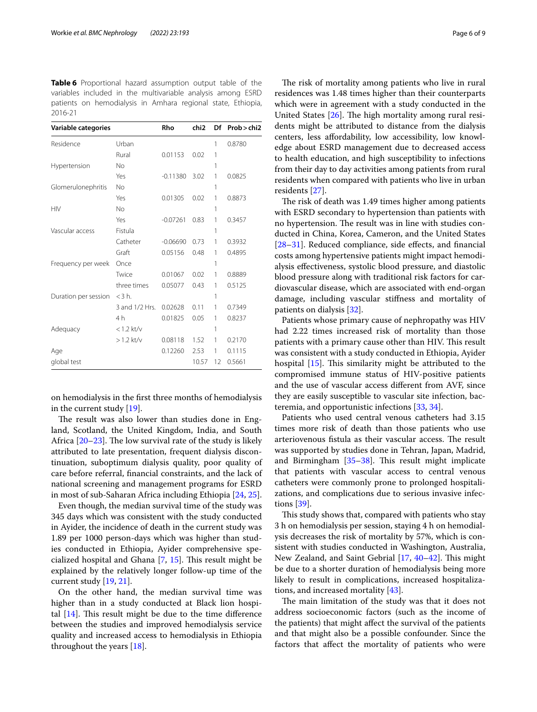<span id="page-5-0"></span>**Table 6** Proportional hazard assumption output table of the variables included in the multivariable analysis among ESRD patients on hemodialysis in Amhara regional state, Ethiopia, 2016-21

| Variable categories  |                 | Rho        | chi <sub>2</sub> | Df | Prob > chi2 |  |
|----------------------|-----------------|------------|------------------|----|-------------|--|
| Residence            | Urban           |            |                  | 1  | 0.8780      |  |
|                      | Rural           | 0.01153    | 0.02             | 1  |             |  |
| Hypertension         | No              |            |                  | 1  |             |  |
|                      | Yes             | $-0.11380$ | 3.02             | 1  | 0.0825      |  |
| Glomerulonephritis   | No              |            |                  | 1  |             |  |
|                      | Yes             | 0.01305    | 0.02             | 1  | 0.8873      |  |
| <b>HIV</b>           | <b>No</b>       |            |                  | 1  |             |  |
|                      | Yes             | $-0.07261$ | 0.83             | 1  | 0.3457      |  |
| Vascular access      | Fistula         |            |                  | 1  |             |  |
|                      | Catheter        | $-0.06690$ | 0.73             | 1  | 0.3932      |  |
|                      | Graft           | 0.05156    | 0.48             | 1  | 0.4895      |  |
| Frequency per week   | Once            |            |                  | 1  |             |  |
|                      | Twice           | 0.01067    | 0.02             | 1  | 0.8889      |  |
|                      | three times     | 0.05077    | 0.43             | 1  | 0.5125      |  |
| Duration per session | $<$ 3 h.        |            |                  | 1  |             |  |
|                      | 3 and 1/2 Hrs.  | 0.02628    | 0.11             | 1  | 0.7349      |  |
|                      | 4 h             | 0.01825    | 0.05             | 1  | 0.8237      |  |
| Adequacy             | $<$ 1.2 kt/ $<$ |            |                  | 1  |             |  |
|                      | $>1.2$ kt/v     | 0.08118    | 1.52             | 1  | 0.2170      |  |
| Age                  |                 | 0.12260    | 2.53             | 1  | 0.1115      |  |
| global test          |                 |            | 10.57            | 12 | 0.5661      |  |

on hemodialysis in the frst three months of hemodialysis in the current study [[19\]](#page-7-16).

The result was also lower than studies done in England, Scotland, the United Kingdom, India, and South Africa  $[20-23]$  $[20-23]$  $[20-23]$ . The low survival rate of the study is likely attributed to late presentation, frequent dialysis discontinuation, suboptimum dialysis quality, poor quality of care before referral, fnancial constraints, and the lack of national screening and management programs for ESRD in most of sub-Saharan Africa including Ethiopia [[24,](#page-7-19) [25](#page-7-20)].

Even though, the median survival time of the study was 345 days which was consistent with the study conducted in Ayider, the incidence of death in the current study was 1.89 per 1000 person-days which was higher than studies conducted in Ethiopia, Ayider comprehensive specialized hospital and Ghana  $[7, 15]$  $[7, 15]$  $[7, 15]$  $[7, 15]$ . This result might be explained by the relatively longer follow-up time of the current study [[19,](#page-7-16) [21](#page-7-21)].

On the other hand, the median survival time was higher than in a study conducted at Black lion hospital  $[14]$  $[14]$ . This result might be due to the time difference between the studies and improved hemodialysis service quality and increased access to hemodialysis in Ethiopia throughout the years [[18](#page-7-14)].

The risk of mortality among patients who live in rural residences was 1.48 times higher than their counterparts which were in agreement with a study conducted in the United States  $[26]$  $[26]$  $[26]$ . The high mortality among rural residents might be attributed to distance from the dialysis centers, less afordability, low accessibility, low knowledge about ESRD management due to decreased access to health education, and high susceptibility to infections from their day to day activities among patients from rural residents when compared with patients who live in urban residents [\[27\]](#page-7-23).

The risk of death was 1.49 times higher among patients with ESRD secondary to hypertension than patients with no hypertension. The result was in line with studies conducted in China, Korea, Cameron, and the United States [[28–](#page-7-24)[31\]](#page-7-25). Reduced compliance, side efects, and fnancial costs among hypertensive patients might impact hemodialysis efectiveness, systolic blood pressure, and diastolic blood pressure along with traditional risk factors for cardiovascular disease, which are associated with end-organ damage, including vascular stifness and mortality of patients on dialysis [[32\]](#page-8-0).

Patients whose primary cause of nephropathy was HIV had 2.22 times increased risk of mortality than those patients with a primary cause other than HIV. This result was consistent with a study conducted in Ethiopia, Ayider hospital  $[15]$  $[15]$ . This similarity might be attributed to the compromised immune status of HIV-positive patients and the use of vascular access diferent from AVF, since they are easily susceptible to vascular site infection, bacteremia, and opportunistic infections [[33,](#page-8-1) [34](#page-8-2)].

Patients who used central venous catheters had 3.15 times more risk of death than those patients who use arteriovenous fistula as their vascular access. The result was supported by studies done in Tehran, Japan, Madrid, and Birmingham  $[35-38]$  $[35-38]$  $[35-38]$ . This result might implicate that patients with vascular access to central venous catheters were commonly prone to prolonged hospitalizations, and complications due to serious invasive infections [[39](#page-8-5)].

This study shows that, compared with patients who stay 3 h on hemodialysis per session, staying 4 h on hemodialysis decreases the risk of mortality by 57%, which is consistent with studies conducted in Washington, Australia, New Zealand, and Saint Gebrial [[17](#page-7-13), [40](#page-8-6)[–42](#page-8-7)]. This might be due to a shorter duration of hemodialysis being more likely to result in complications, increased hospitalizations, and increased mortality [\[43\]](#page-8-8).

The main limitation of the study was that it does not address socioeconomic factors (such as the income of the patients) that might afect the survival of the patients and that might also be a possible confounder. Since the factors that afect the mortality of patients who were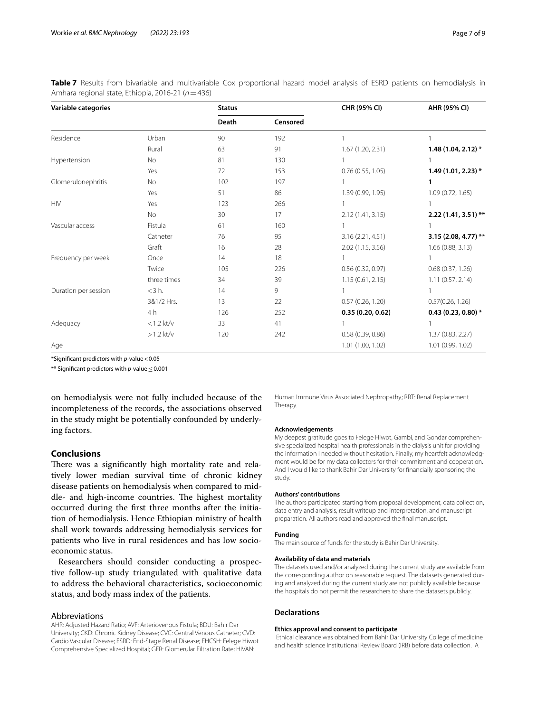<span id="page-6-0"></span>

|  |  | Table 7 Results from bivariable and multivariable Cox proportional hazard model analysis of ESRD patients on hemodialysis in |  |  |  |  |  |  |
|--|--|------------------------------------------------------------------------------------------------------------------------------|--|--|--|--|--|--|
|  |  | Amhara regional state, Ethiopia, 2016-21 (n = 436)                                                                           |  |  |  |  |  |  |

| Variable categories  |                 | <b>Status</b> |          | CHR (95% CI)      | AHR (95% CI)          |  |
|----------------------|-----------------|---------------|----------|-------------------|-----------------------|--|
|                      |                 | Death         | Censored |                   |                       |  |
| Residence            | Urban           | 90            | 192      |                   |                       |  |
|                      | Rural           | 63            | 91       | 1.67(1.20, 2.31)  | $1.48(1.04, 2.12)*$   |  |
| Hypertension         | <b>No</b>       | 81            | 130      |                   |                       |  |
|                      | Yes             | 72            | 153      | 0.76(0.55, 1.05)  | $1.49(1.01, 2.23)*$   |  |
| Glomerulonephritis   | No              | 102           | 197      |                   | 1                     |  |
|                      | Yes             | 51            | 86       | 1.39 (0.99, 1.95) | 1.09(0.72, 1.65)      |  |
| <b>HIV</b>           | Yes             | 123           | 266      |                   |                       |  |
|                      | <b>No</b>       | 30            | 17       | 2.12 (1.41, 3.15) | $2.22(1.41, 3.51)$ ** |  |
| Vascular access      | Fistula         | 61            | 160      |                   |                       |  |
|                      | Catheter        | 76            | 95       | 3.16(2.21, 4.51)  | $3.15(2.08, 4.77)$ ** |  |
|                      | Graft           | 16            | 28       | 2.02 (1.15, 3.56) | 1.66(0.88, 3.13)      |  |
| Frequency per week   | Once            | 14            | 18       |                   |                       |  |
|                      | Twice           | 105           | 226      | 0.56(0.32, 0.97)  | 0.68(0.37, 1.26)      |  |
|                      | three times     | 34            | 39       | 1.15(0.61, 2.15)  | 1.11(0.57, 2.14)      |  |
| Duration per session | $<$ 3 h.        | 14            | 9        |                   |                       |  |
|                      | 3&1/2 Hrs.      | 13            | 22       | 0.57(0.26, 1.20)  | 0.57(0.26, 1.26)      |  |
|                      | 4h              | 126           | 252      | 0.35(0.20, 0.62)  | 0.43 (0.23, 0.80) $*$ |  |
| Adequacy             | $<$ 1.2 kt/ $v$ | 33            | 41       |                   |                       |  |
|                      | $>1.2$ kt/v     | 120           | 242      | 0.58(0.39, 0.86)  | 1.37(0.83, 2.27)      |  |
| Age                  |                 |               |          | 1.01 (1.00, 1.02) | 1.01 (0.99, 1.02)     |  |

\*Signifcant predictors with *p*-value<0.05

\*\* Signifcant predictors with *p*-value≤0.001

on hemodialysis were not fully included because of the incompleteness of the records, the associations observed in the study might be potentially confounded by underlying factors.

### **Conclusions**

There was a significantly high mortality rate and relatively lower median survival time of chronic kidney disease patients on hemodialysis when compared to middle- and high-income countries. The highest mortality occurred during the frst three months after the initiation of hemodialysis. Hence Ethiopian ministry of health shall work towards addressing hemodialysis services for patients who live in rural residences and has low socioeconomic status.

Researchers should consider conducting a prospective follow-up study triangulated with qualitative data to address the behavioral characteristics, socioeconomic status, and body mass index of the patients.

#### Abbreviations

AHR: Adjusted Hazard Ratio; AVF: Arteriovenous Fistula; BDU: Bahir Dar University; CKD: Chronic Kidney Disease; CVC: Central Venous Catheter; CVD: Cardio Vascular Disease; ESRD: End-Stage Renal Disease; FHCSH: Felege Hiwot Comprehensive Specialized Hospital; GFR: Glomerular Filtration Rate; HIVAN:

Human Immune Virus Associated Nephropathy; RRT: Renal Replacement Therapy.

#### **Acknowledgements**

My deepest gratitude goes to Felege Hiwot, Gambi, and Gondar comprehensive specialized hospital health professionals in the dialysis unit for providing the information I needed without hesitation. Finally, my heartfelt acknowledgment would be for my data collectors for their commitment and cooperation. And I would like to thank Bahir Dar University for fnancially sponsoring the study.

#### **Authors' contributions**

The authors participated starting from proposal development, data collection, data entry and analysis, result writeup and interpretation, and manuscript preparation. All authors read and approved the fnal manuscript.

#### **Funding**

The main source of funds for the study is Bahir Dar University.

#### **Availability of data and materials**

The datasets used and/or analyzed during the current study are available from the corresponding author on reasonable request. The datasets generated during and analyzed during the current study are not publicly available because the hospitals do not permit the researchers to share the datasets publicly.

#### **Declarations**

#### **Ethics approval and consent to participate**

 Ethical clearance was obtained from Bahir Dar University College of medicine and health science Institutional Review Board (IRB) before data collection. A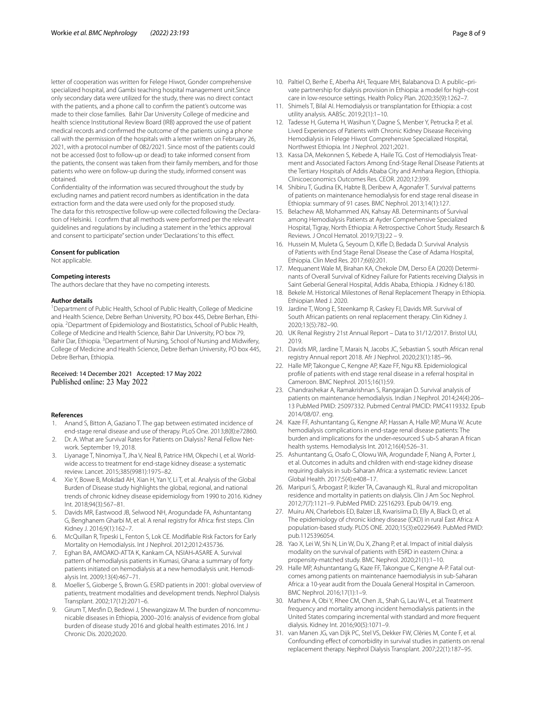letter of cooperation was written for Felege Hiwot, Gonder comprehensive specialized hospital, and Gambi teaching hospital management unit.Since only secondary data were utilized for the study, there was no direct contact with the patients, and a phone call to confrm the patient's outcome was made to their close families. Bahir Dar University College of medicine and health science Institutional Review Board (IRB) approved the use of patient medical records and confrmed the outcome of the patients using a phone call with the permission of the hospitals with a letter written on February 26, 2021, with a protocol number of 082/2021. Since most of the patients could not be accessed (lost to follow-up or dead) to take informed consent from the patients, the consent was taken from their family members, and for those patients who were on follow-up during the study, informed consent was obtained.

Confdentiality of the information was secured throughout the study by excluding names and patient record numbers as identifcation in the data extraction form and the data were used only for the proposed study. The data for this retrospective follow-up were collected following the Declaration of Helsinki. I confrm that all methods were performed per the relevant guidelines and regulations by including a statement in the "ethics approval and consent to participate" section under 'Declarations' to this efect.

#### **Consent for publication**

Not applicable.

#### **Competing interests**

The authors declare that they have no competing interests.

#### **Author details**

<sup>1</sup> Department of Public Health, School of Public Health, College of Medicine and Health Science, Debre Berhan University, PO box 445, Debre Berhan, Ethiopia. <sup>2</sup> Department of Epidemiology and Biostatistics, School of Public Health, College of Medicine and Health Science, Bahir Dar University, PO box 79, Bahir Dar, Ethiopia. <sup>3</sup> Department of Nursing, School of Nursing and Midwifery, College of Medicine and Health Science, Debre Berhan University, PO box 445, Debre Berhan, Ethiopia.

## Received: 14 December 2021 Accepted: 17 May 2022

#### **References**

- <span id="page-7-0"></span>1. Anand S, Bitton A, Gaziano T. The gap between estimated incidence of end-stage renal disease and use of therapy. PLoS One. 2013;8(8):e72860.
- <span id="page-7-1"></span>2. Dr. A. What are Survival Rates for Patients on Dialysis? Renal Fellow Network. September 19, 2018.
- <span id="page-7-2"></span>3. Liyanage T, Ninomiya T, Jha V, Neal B, Patrice HM, Okpechi I, et al. Worldwide access to treatment for end-stage kidney disease: a systematic review. Lancet. 2015;385(9981):1975–82.
- <span id="page-7-3"></span>Xie Y, Bowe B, Mokdad AH, Xian H, Yan Y, Li T, et al. Analysis of the Global Burden of Disease study highlights the global, regional, and national trends of chronic kidney disease epidemiology from 1990 to 2016. Kidney Int. 2018;94(3):567–81.
- <span id="page-7-4"></span>5. Davids MR, Eastwood JB, Selwood NH, Arogundade FA, Ashuntantang G, Benghanem Gharbi M, et al. A renal registry for Africa: frst steps. Clin Kidney J. 2016;9(1):162–7.
- <span id="page-7-5"></span>6. McQuillan R, Trpeski L, Fenton S, Lok CE. Modifable Risk Factors for Early Mortality on Hemodialysis. Int J Nephrol. 2012;2012:435736.
- <span id="page-7-6"></span>7. Eghan BA, AMOAKO-ATTA K, Kankam CA, NSIAH‐ASARE A. Survival pattern of hemodialysis patients in Kumasi, Ghana: a summary of forty patients initiated on hemodialysis at a new hemodialysis unit. Hemodialysis Int. 2009;13(4):467–71.
- <span id="page-7-7"></span>8. Moeller S, Gioberge S, Brown G. ESRD patients in 2001: global overview of patients, treatment modalities and development trends. Nephrol Dialysis Transplant. 2002;17(12):2071–6.
- 9. Girum T, Mesfin D, Bedewi J, Shewangizaw M. The burden of noncommunicable diseases in Ethiopia, 2000–2016: analysis of evidence from global burden of disease study 2016 and global health estimates 2016. Int J Chronic Dis. 2020;2020.
- <span id="page-7-8"></span>10. Paltiel O, Berhe E, Aberha AH, Tequare MH, Balabanova D. A public–private partnership for dialysis provision in Ethiopia: a model for high-cost care in low-resource settings. Health Policy Plan. 2020;35(9):1262–7.
- <span id="page-7-9"></span>11. Shimels T, Bilal AI. Hemodialysis or transplantation for Ethiopia: a cost utility analysis. AABSc. 2019;2(1):1–10.
- <span id="page-7-10"></span>12. Tadesse H, Gutema H, Wasihun Y, Dagne S, Menber Y, Petrucka P, et al. Lived Experiences of Patients with Chronic Kidney Disease Receiving Hemodialysis in Felege Hiwot Comprehensive Specialized Hospital, Northwest Ethiopia. Int J Nephrol. 2021;2021.
- <span id="page-7-11"></span>13. Kassa DA, Mekonnen S, Kebede A, Haile TG. Cost of Hemodialysis Treatment and Associated Factors Among End-Stage Renal Disease Patients at the Tertiary Hospitals of Addis Ababa City and Amhara Region, Ethiopia. Clinicoeconomics Outcomes Res. CEOR. 2020;12:399.
- <span id="page-7-12"></span>14. Shibiru T, Gudina EK, Habte B, Deribew A, Agonafer T. Survival patterns of patients on maintenance hemodialysis for end stage renal disease in Ethiopia: summary of 91 cases. BMC Nephrol. 2013;14(1):127.
- <span id="page-7-15"></span>15. Belachew AB, Mohammed AN, Kahsay AB. Determinants of Survival among Hemodialysis Patients at Ayder Comprehensive Specialized Hospital, Tigray, North Ethiopia: A Retrospective Cohort Study. Research & Reviews. J Oncol Hematol. 2019;7(3):22 – 9.
- 16. Hussein M, Muleta G, Seyoum D, Kife D, Bedada D. Survival Analysis of Patients with End Stage Renal Disease the Case of Adama Hospital, Ethiopia. Clin Med Res. 2017;6(6):201.
- <span id="page-7-13"></span>17. Mequanent Wale M, Birahan KA, Chekole DM, Derso EA (2020) Determinants of Overall Survival of Kidney Failure for Patients receiving Dialysis in Saint Geberial General Hospital, Addis Ababa, Ethiopia. J Kidney 6:180.
- <span id="page-7-14"></span>18. Bekele M. Historical Milestones of Renal Replacement Therapy in Ethiopia. Ethiopian Med J. 2020.
- <span id="page-7-16"></span>19. Jardine T, Wong E, Steenkamp R, Caskey FJ, Davids MR. Survival of South African patients on renal replacement therapy. Clin Kidney J. 2020;13(5):782–90.
- <span id="page-7-17"></span>20. UK Renal Registry 21st Annual Report – Data to 31/12/2017. Bristol UU, 2019.
- <span id="page-7-21"></span>21. Davids MR, Jardine T, Marais N, Jacobs JC, Sebastian S. south African renal registry Annual report 2018. Afr J Nephrol. 2020;23(1):185–96.
- 22. Halle MP, Takongue C, Kengne AP, Kaze FF, Ngu KB. Epidemiological profle of patients with end stage renal disease in a referral hospital in Cameroon. BMC Nephrol. 2015;16(1):59.
- <span id="page-7-18"></span>23. Chandrashekar A, Ramakrishnan S, Rangarajan D. Survival analysis of patients on maintenance hemodialysis. Indian J Nephrol. 2014;24(4):206– 13 PubMed PMID: 25097332. Pubmed Central PMCID: PMC4119332. Epub 2014/08/07. eng.
- <span id="page-7-19"></span>24. Kaze FF, Ashuntantang G, Kengne AP, Hassan A, Halle MP, Muna W. Acute hemodialysis complications in end-stage renal disease patients: The burden and implications for the under‐resourced S ub‐S aharan A frican health systems. Hemodialysis Int. 2012;16(4):526–31.
- <span id="page-7-20"></span>25. Ashuntantang G, Osafo C, Olowu WA, Arogundade F, Niang A, Porter J, et al. Outcomes in adults and children with end-stage kidney disease requiring dialysis in sub-Saharan Africa: a systematic review. Lancet Global Health. 2017;5(4):e408–17.
- <span id="page-7-22"></span>26. Maripuri S, Arbogast P, Ikizler TA, Cavanaugh KL. Rural and micropolitan residence and mortality in patients on dialysis. Clin J Am Soc Nephrol. 2012;7(7):1121–9. PubMed PMID: 22516293. Epub 04/19. eng.
- <span id="page-7-23"></span>27. Muiru AN, Charlebois ED, Balzer LB, Kwarisiima D, Elly A, Black D, et al. The epidemiology of chronic kidney disease (CKD) in rural East Africa: A population-based study. PLOS ONE. 2020;15(3):e0229649. PubMed PMID: pub.1125396054.
- <span id="page-7-24"></span>28. Yao X, Lei W, Shi N, Lin W, Du X, Zhang P, et al. Impact of initial dialysis modality on the survival of patients with ESRD in eastern China: a propensity-matched study. BMC Nephrol. 2020;21(1):1–10.
- 29. Halle MP, Ashuntantang G, Kaze FF, Takongue C, Kengne A-P. Fatal outcomes among patients on maintenance haemodialysis in sub-Saharan Africa: a 10-year audit from the Douala General Hospital in Cameroon. BMC Nephrol. 2016;17(1):1–9.
- 30. Mathew A, Obi Y, Rhee CM, Chen JL, Shah G, Lau W-L, et al. Treatment frequency and mortality among incident hemodialysis patients in the United States comparing incremental with standard and more frequent dialysis. Kidney Int. 2016;90(5):1071–9.
- <span id="page-7-25"></span>31. van Manen JG, van Dijk PC, Stel VS, Dekker FW, Clèries M, Conte F, et al. Confounding effect of comorbidity in survival studies in patients on renal replacement therapy. Nephrol Dialysis Transplant. 2007;22(1):187–95.